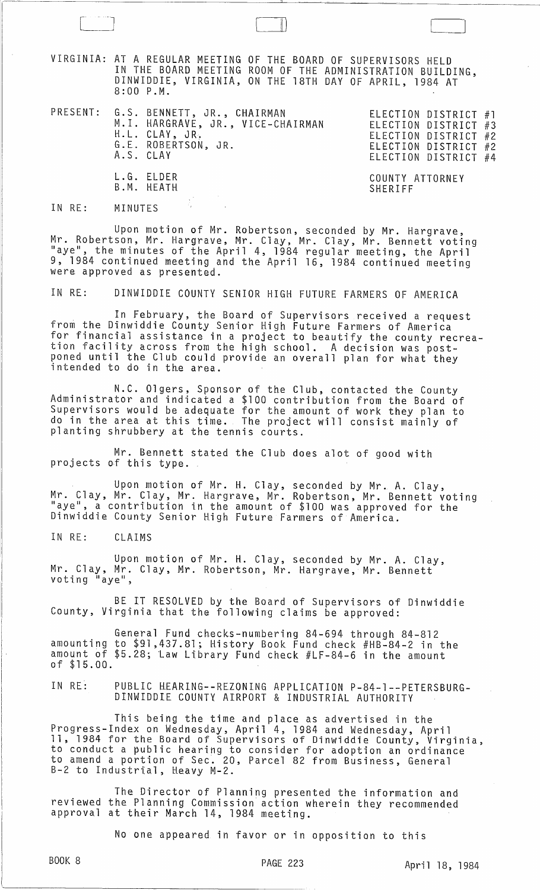VIRGINIA: AT A REGULAR MEETING OF THE BOARD OF SUPERVISORS HELD IN THE BOARD MEETING ROOM OF THE ADMINISTRATION BUILDING, DINWIDDIE, VIRGINIA, ON THE 18TH DAY OF APRIL, 1984 AT 8:00 P.M.

PRESENT: G.S. BENNETT, JR., CHAIRMAN ELECTION DISTRICT #1 M. I. HARGRAVE, JR., VICE-CHAIRMAN H.L. CLAY, JR. G.E. ROBERTSON, JR. A.S. CLAY L.G. ELDER B.M. HEATH

 $\begin{bmatrix} 1 & 1 \\ 1 & 1 \end{bmatrix}$ 

ELECTION DISTRICT #3 ELECTION DISTRICT #2 ELECTION DISTRICT #2 ELECTION DISTRICT #4

COUNTY ATTORNEY SHERIFF

IN RE: MINUTES

Upon motion of Mr. Robertson, seconded by Mr. Hargrave, Mr. Robertson, Mr. Hargrave, Mr. Clay, Mr. Clay, Mr. Bennett voting "aye", the minutes of the April 4, 1984 regular meeting, the April 9, 1984 continued meeting and the April 16, 1984 continued meeting were approved as presented.

IN RE: DINWIDDIE COUNTY SENIOR HIGH FUTURE FARMERS OF AMERICA

In February, the Board of Supervisors received a request from the Dinwiddie County Senior High Future Farmers of America for financial assistance in a project to beautify the county recreation facility across from the high school. A decision was post-<br>poned until the Club could provide an overall plan for what they<br>intended to do in the area.

N.C. Olgers, Sponsor of the Club, contacted the County Administrator and indicated a \$100 contribution from the Board of Supervisors would be adequate for the amount of work they plan to do in the area at this time. The project will consist mainly of planting shrubbery at the tennis courts.

Mr. Bennett stated the Club does alot of good with projects of this type.

Upon motion of Mr. H. Clay, seconded by Mr. A. Clay, Mr. Clay, Mr. Clay, Mr. Hargrave, Mr. Robertson, Mr. Bennett voting<br>"aye", a contribution in the amount of \$100 was approved for the "aye", a contribution in the amount of \$100 was approved for the Dinwiddie County Senior High Future Farmers of America.

IN RE: CLAIMS

Upon motion of Mr. H. Clay, seconded by Mr. A. Clay, Mr. Clay, Mr. Clay, Mr. Robertson, Mr. Hargrave, Mr. Bennett voting "aye",

BE IT RESOLVED by the Board of Supervisors of Dinwiddie County, Virginia that the following claims be approved:

General Fund checks-numbering 84-694 through 84-812 amounting to \$91,437.81; History Book Fund check #HB-84-2 in the amount of \$5.28; law Library Fund check #LF-84-6 in the amount of \$15.00.

IN RE: PUBLIC HEARING--REZONING APPLICATION P-84-1--PETERSBURG-DINWIDDIE COUNTY AIRPORT & INDUSTRIAL AUTHORITY

This being the time and place as advertised in the Progress-Index on Wednesday, April 4, 1984 and Wednesday, April<br>11, 1984 for the Board of Supervisors of Dinwiddie County, Virginia, to conduct a public hearing to consider for adoption an ordinance to amend a portion of Sec~ 20, Parcel 82 from Business, General B-2 to Industrial, Heavy M-2.

The Director of Planning presented the information and reviewed the Planning Commission action wherein they recommended approval at their March 14, 1984 meeting.

No one appeared in favor or in opposition to this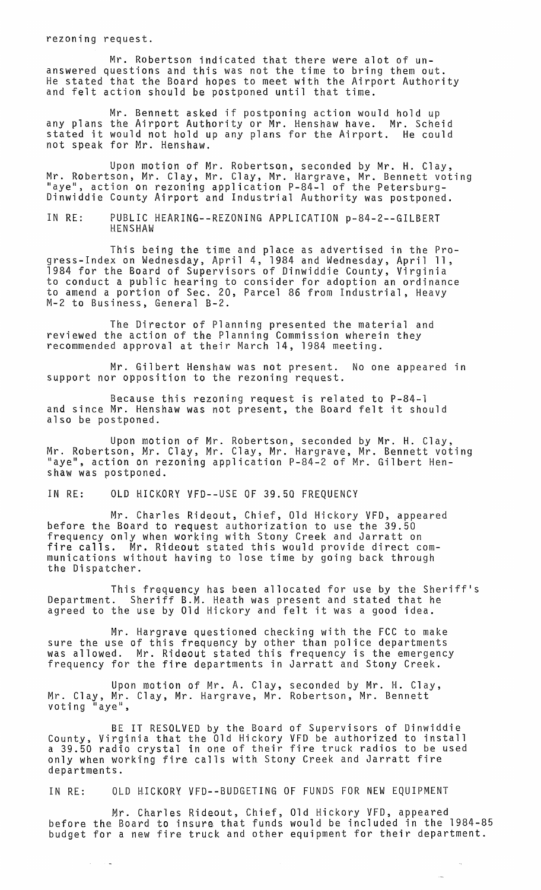rezoning request.

Mr. Robertson indicated that there were alot of unanswered questions and this was not the time to bring them out. He stated that the Board hopes to meet with the Airport Authority and felt action should be postponed until that time.

Mr. Bennett asked if postponing action would hold up any plans the Airport Authority or Mr. Henshaw have. Mr. Scheid stated it would not hold up any plans for the Airport. He could not speak for Mr. Henshaw.

Upon motion of Mr. Robertson, seconded by Mr. H. Clay, Mr. Robertson; Mr. Clay, Mr. Clay, Mr. Hargrave, Mr. Bennett voting "aye", action on rezoning application P-84-1 of the Petersburg-Dinwiddie County Airport and Industrial Authority was postponed.

IN RE: PUBLIC HEARING--REZONING APPLICATION p-84-2--GILBERT HENSHAW

This being the time and place as advertised in the Progress-Index on Wednesday, April 4, 1984 and Wednesday, April 11, 1984 for the Board of Supervisors of Dinwiddie County, Virginia to conduct a public hearing to consider for adoption an ordinance to amend a portion of Sec. 20, Parcel 86 from Industrial, Heavy M-2 to Business, General B-2.

The Director of Planning presented the material and reviewed the action of the Planning Commission wherein they recommended approval at their March 14, 1984 meeting.

Mr. Gilbert Henshaw was not present. No one appeared in support nor opposition to the rezoning request.

Because this rezoning request is related to P-84-1 and since Mr. Henshaw was not present, the Board felt it should also be postponed.

Upon motion of Mr. Robertson, seconded by Mr. H. Clay, Mr. Robertson, Mr. Clay, Mr. Clay, Mr. Hargrave, Mr. Bennett voting "aye", action on rezoning application P-84-2 of Mr. Gilbert Henshaw was postponed.

IN RE: OLD HICKORY VFD--USE OF 39.50 FREQUENCY

Mr. Charles Rideout, Chief, Old Hickory VFD, appeared before the Board to request authorization to use the 39.50 frequency only when working with Stony Creek and Jarratt on fire calls. Mr. Rideout stated this would provide direct communications without having to lose time by going back through the Dispatcher.

This frequency has been allocated for use by the Sheriff's Department. Sheriff B.M. Heath was present and stated that he agreed to the use by Old Hickory and felt it was a good idea.

Mr. Hargrave questioned checking with the FCC to make sure the use of this frequency by other than police departments was allowed. Mr. Rideout stated this frequency is the emergency frequency for the fire departments in Jarratt and Stony Creek.

Upon motion of Mr. A. Clay, seconded by Mr. H. Clay, Mr. Clay, Mr. Clay, Mr. Hargrave, Mr. Robertson, Mr. Bennett voting "aye",

BE IT RESOLVED by the Board of Supervisors of Dinwiddie County, Virginia that the Old Hickory VFD be authorized to install a 39.50 radio crystal in one of their fire truck radios to be used only when working fire calls with Stony Creek and Jarratt fire departments.

IN RE: OLD HICKORY VFD--BUDGETING OF FUNDS FOR NEW EQUIPMENT

 $\sim$ 

Mr. Charles Rideout, Chief, Old Hickory VFD, appeared before the Board to insure that funds would be included in the 1984-85 budget for a new fire truck and other equipment for their department.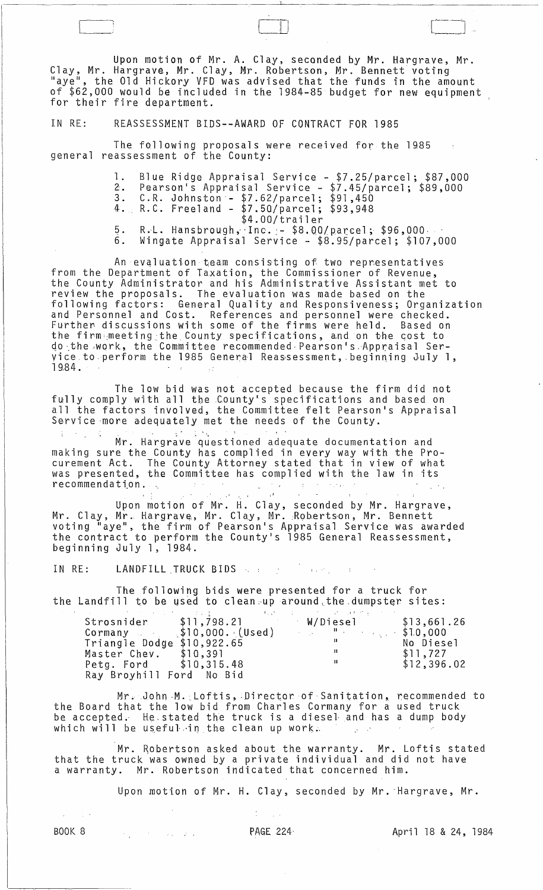Upon motion of Mr. A. Clay, seconded by Mr. Hargrave, Mr. Clay, Mr. Hargrave, Mr. Clay, Mr. Robertson, Mr. Bennett voting<br>"aye", the Old Hickory VFD was advised that the funds in the amount of \$62,000 would be included in the 1984-85 budget for new equipment for their fire department.

IN RE: REASSESSMENT BIDS -- AWARD OF CONTRACT FOR 1985

The following proposals were received for the 1985<br>general reassessment of the County:

1. Blue Ridge Appraisal Service - \$7.25/parcel; \$87,000<br>2. Pearson's Appraisal Service - \$7.45/parcel; \$89,000<br>3. C.R. Johnston - \$7.62/parcel; \$91,450<br>4. R.C. Freeland - \$7.50/parcel; \$93,948<br>\$4.00/trailer

 $5.$ R.L. Hansbrough, Inc. - \$8.00/parcel; \$96,000. Wingate Appraisal Service - \$8.95/parcel; \$107,000  $6.$ 

An evaluation team consisting of two representatives<br>from the Department of Taxation, the Commissioner of Revenue,<br>the County Administrator and his Administrative Assistant met to The County Administrator and nis Administrative Assistant met to<br>review the proposals. The evaluation was made based on the<br>following factors: General Quality and Responsiveness; Organization<br>and Personnel and Cost. Refere do the work, the Committee recommended Pearson's Appraisal Service to perform the 1985 General Reassessment, beginning July 1, 1984.

The low bid was not accepted because the firm did not fully comply with all the County's specifications and based on all the factors involved, the Committee felt Pearson's Appraisal<br>Service more adequately met the needs of the County.

 $\pm$   $\Delta$  $\mathcal{X} \to \mathcal{Y}$ Mr. Hargrave questioned adequate documentation and making sure the County has complied in every way with the Pro-<br>curement Act. The County Attorney stated that in view of what<br>was presented, the Committee has complied with the law in its recommendation.

Upon motion of Mr. H. Clay, seconded by Mr. Hargrave,<br>Mr. Clay, Mr. Hargrave, Mr. Clay, Mr. Robertson, Mr. Bennett<br>voting "aye", the firm of Pearson's Appraisal Service was awarded<br>the contract to perform the County's 1985

IN RE: LANDFILL TRUCK BIDS And the state of the state

The following bids were presented for a truck for the Landfill to be used to clean up around the dumpster sites:

|                            | the contract of the contract of the contract of the contract of the contract of the contract of the contract of |             |
|----------------------------|-----------------------------------------------------------------------------------------------------------------|-------------|
| Strosnider \$11,798.21     | W/Diesel –                                                                                                      | \$13,661.26 |
|                            | Cormany \$10,000. (Used) "310,000                                                                               |             |
| Triangle Dodge \$10,922.65 |                                                                                                                 | No Diesel   |
| Master Chev. \$10,391      | -11                                                                                                             | \$11,727    |
| Petg. Ford \$10,315.48     | -11                                                                                                             | \$12,396.02 |
| Ray Broyhill Ford No Bid   |                                                                                                                 |             |

Mr. John M. Loftis, Director of Sanitation, recommended to the Board that the low bid from Charles Cormany for a used truck be accepted. He stated the truck is a diesel and has a dump body which will be useful in the clean up work.

Mr. Robertson asked about the warranty. Mr. Loftis stated<br>that the truck was owned by a private individual and did not have<br>a warranty. Mr. Robertson indicated that concerned him.

Upon motion of Mr. H. Clay, seconded by Mr. Hargrave, Mr.

**BOOK 8** 

 $\mathcal{O}(\mathcal{O}_\mathcal{O})$  . The contribution of the  $\mathcal{O}(\mathcal{O}_\mathcal{O})$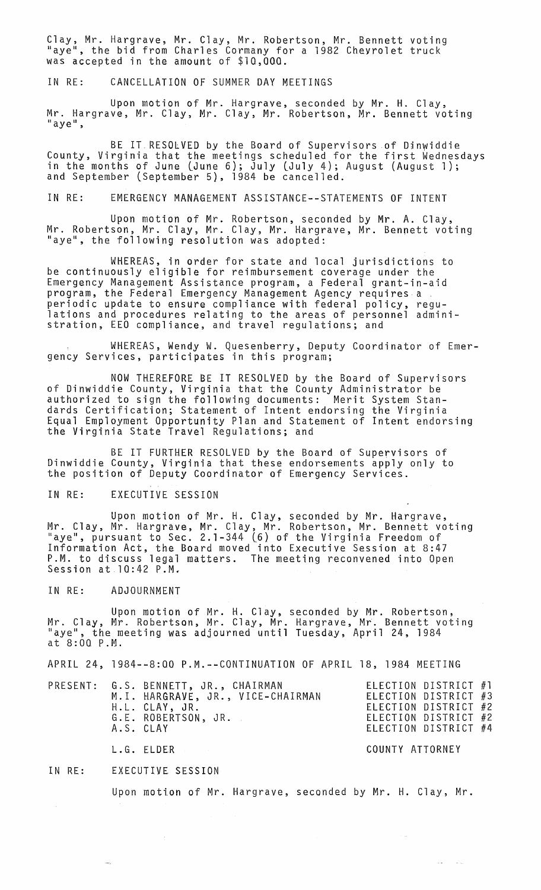Clay, Mr. Hargrave, Mr. Clay, Mr. Robertson, Mr. Bennett voting "aye", the bid from Charles Cormany for a 1982 Chevrolet truck was accepted in the amount of \$10,000.

IN RE: CANCELLATION OF SUMMER DAY MEETINGS

Upon motion of Mr. Hargrave, seconded by Mr. H. Clay, Mr. Hargrave, Mr. Clay, Mr. Clay, Mr. Robertson, Mr. Bennett voting<br>"aye",

BE IT. RESOLVED by the Board of Supervisors of Djnwiddie County, Virginia that the meetings scheduled for the first Wednesdays in the months of June (June 6); July (July 4); August (August 1); and September (September 5), 1984 be cancelled.

IN RE: EMERGENCY MANAGEMENT ASSISTANCE--STATEMENTS OF INTENT

Upon motion of Mr. Robertson, seconded by Mr. A. Clay, Mr. Robertson, Mr. Clay, Mr. Clay, Mr. Hargrave, Mr. Bennett voting "aye", the following resolution was adopted:

WHEREAS, in order for state and local jurisdictions to be continuously eligible for reimbursement coverage under the Emergency Management Assistance program, a Federal grant-in-aid program, the Federal Emergency Management Agency requires a . periodic update to ensure compliance with federal policy, regulations and procedures relating to the areas of personnel administration, EEO compliance, and travel regulations; and

WHEREAS, Wendy W. Quesenberry, Deputy Coordinator of Emergency Services, participates in this program;

NOW THEREFORE BE IT RESOLVED by the Board of Supervisors of Dinwiddie County, Virginia that the County Administrator be authorized to sign the following documents: Merit System Standards Certification; Statement of Intent endorsing the Virginia Equal Employment Opportunity Plan and Statement of Intent endorsing the Virginia State Travel Regulations; and

BE IT FURTHER RESOLVED by the Board of Supervisors of Dinwiddie County, Virginia that these endorsements apply only to the position of Deputy Coordinator of Emergency Services.

### IN RE: EXECUTIVE SESSION

Upon motion of Mr. H. Clay, seconded by Mr. Hargrave, Mr. Clay, Mr. Hargrave, Mr. Clay, Mr. Robertson, Mr. Bennett voting "aye", pursuant to Sec. 2.1-344 (6) of the Virginia Freedom of Information Act, the Board moved into Executive Session at 8:47 P.M. to discuss legal matters. The meeting reconvened into Open<br>Session at 10:42 P.M.

IN RE: ADJOURNMENT

Upon motion of Mr. H. Clay, seconded by Mr. Robertson, Mr. Clay, Mr. Robertson, Mr. Clay, Mr. Hargrave, Mr. Bennett voting<br>"aye", the meeting was adjourned until Tuesday, April 24, 1984 at 8:00 P.M.

APRIL 24, 1984--8:00 P.M.--CONTINUATION OF APRIL 18, 1984 MEETING

| A.S. CLAY | PRESENT: G.S. BENNETT, JR., CHAIRMAN<br>M.I. HARGRAVE, JR., VICE-CHAIRMAN<br>H.L. CLAY, JR.<br>G.E. ROBERTSON, JR. | ELECTION DISTRICT #1<br>ELECTION DISTRICT #3<br>ELECTION DISTRICT #2<br>ELECTION DISTRICT #2<br>ELECTION DISTRICT #4 |  |
|-----------|--------------------------------------------------------------------------------------------------------------------|----------------------------------------------------------------------------------------------------------------------|--|
|           |                                                                                                                    |                                                                                                                      |  |
|           |                                                                                                                    |                                                                                                                      |  |

#### L.G. ELDER COUNTY ATTORNEY

 $\alpha = 1$  ,  $\beta = 1$  .

#### IN RE: EXECUTIVE SESSION

Upon motton of Mr. Hargrave, seconded by Mr. H. Clay, Mr.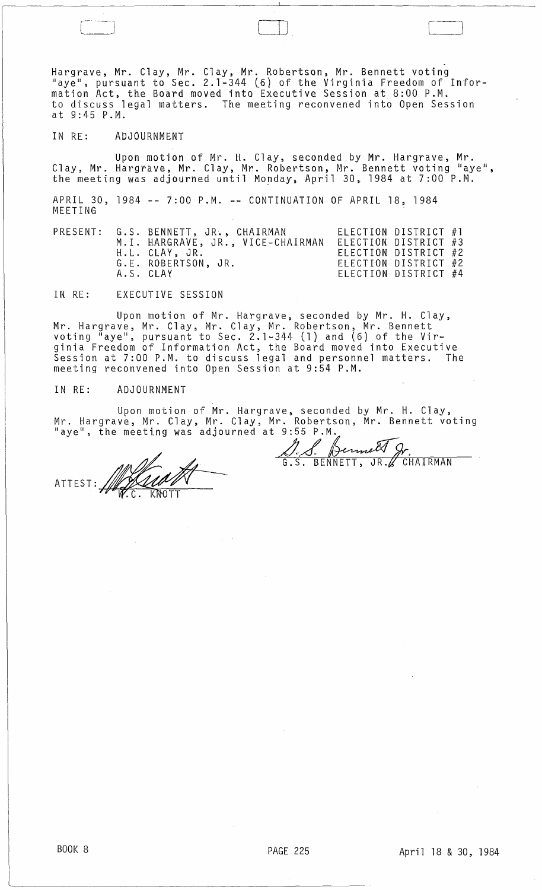Hargrave, Mr. Clay, Mr. Clay, Mr. Robertson, Mr. Bennett voting "aye", pursuant to Sec. 2.1-344 (6) of the Virginia Freedom of Information Act, the Board moved into Executive Session at 8:00 P.M. to discuss legal matters. The meeting reconvened into Open Session at 9:45 P.M.

,.

 $\Box$ 

## IN RE: ADJOURNMENT

Upon motion of Mr. H. Clay, seconded by Mr. Hargrave, Mr. Clay, Mr. Hargrave, Mr. Clay, Mr. Robertson, Mr. Bennett voting "aye", the meeting was adjourned until Monday, April 30, 1984 at 7:00 P.M.

APRIL 30, 1984 **--** 7:00 P.M. **--** CONTINUATION OF APRIL 18, 1984 MEETING

|  | PRESENT: G.S. BENNETT, JR., CHAIRMAN<br>H.L. CLAY, JR.<br>G.E. ROBERTSON, JR. | M.I. HARGRAVE, JR., VICE-CHAIRMAN | ELECTION DISTRICT #1<br>ELECTION DISTRICT #3<br>ELECTION DISTRICT #2<br>ELECTION DISTRICT #2 |  |
|--|-------------------------------------------------------------------------------|-----------------------------------|----------------------------------------------------------------------------------------------|--|
|  | A.S. CLAY                                                                     |                                   | ELECTION DISTRICT #4                                                                         |  |

IN RE: EXECUTIVE SESSION

Upon motion of Mr. Hargrave, seconded by Mr. H. Clay, Mr. Hargrave, Mr. Clay, Mr. Clay, Mr. Robertson, Mr. Bennett voting  $^{\mathsf{ii}}$ aye", pursuant to Sec. 2.1-344 (1) and (6) of the Virginia Freedom of Information Act, the Board moved into Executive Session at 7:00 P.M. to discuss legal and personnel matters. The meeting reconvened into Open Session at 9:54 P.M.

IN RE: ADJOURNMENT

Upon motion of Mr. Hargrave, seconded by Mr. H. Clay, Mr. Hargrave, Mr. Clay, Mr. Clay, Mr. Robertson, Mr. Bennett voting<br>"aye", the meeting was adjourned at 9:55 P.M.,

ATTEST:~ ':c:KOTT

Bennett J

**CHAIRMAN** 

لـــــــا